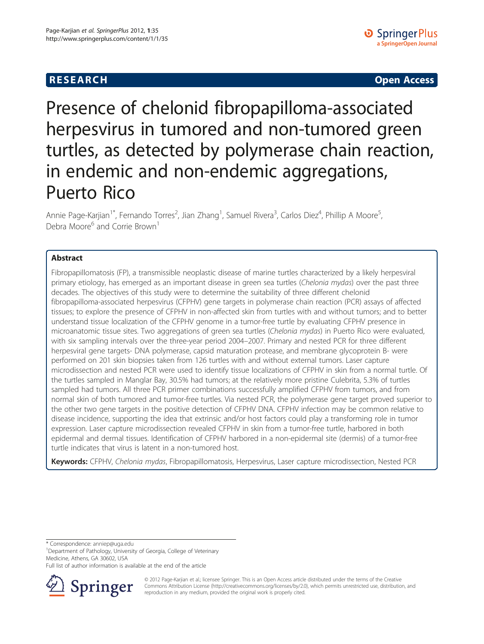# **RESEARCH CHEAR CHEAR CHEAR CHEAR CHEAR CHEAR CHEAR CHEAR CHEAR CHEAR CHEAR CHEAR CHEAR CHEAR CHEAR CHEAR CHEAR**

# Presence of chelonid fibropapilloma-associated herpesvirus in tumored and non-tumored green turtles, as detected by polymerase chain reaction, in endemic and non-endemic aggregations, Puerto Rico

Annie Page-Karjian<sup>1\*</sup>, Fernando Torres<sup>2</sup>, Jian Zhang<sup>1</sup>, Samuel Rivera<sup>3</sup>, Carlos Diez<sup>4</sup>, Phillip A Moore<sup>5</sup> , Debra Moore<sup>6</sup> and Corrie Brown<sup>1</sup>

# Abstract

Fibropapillomatosis (FP), a transmissible neoplastic disease of marine turtles characterized by a likely herpesviral primary etiology, has emerged as an important disease in green sea turtles (Chelonia mydas) over the past three decades. The objectives of this study were to determine the suitability of three different chelonid fibropapilloma-associated herpesvirus (CFPHV) gene targets in polymerase chain reaction (PCR) assays of affected tissues; to explore the presence of CFPHV in non-affected skin from turtles with and without tumors; and to better understand tissue localization of the CFPHV genome in a tumor-free turtle by evaluating CFPHV presence in microanatomic tissue sites. Two aggregations of green sea turtles (Chelonia mydas) in Puerto Rico were evaluated, with six sampling intervals over the three-year period 2004–2007. Primary and nested PCR for three different herpesviral gene targets- DNA polymerase, capsid maturation protease, and membrane glycoprotein B- were performed on 201 skin biopsies taken from 126 turtles with and without external tumors. Laser capture microdissection and nested PCR were used to identify tissue localizations of CFPHV in skin from a normal turtle. Of the turtles sampled in Manglar Bay, 30.5% had tumors; at the relatively more pristine Culebrita, 5.3% of turtles sampled had tumors. All three PCR primer combinations successfully amplified CFPHV from tumors, and from normal skin of both tumored and tumor-free turtles. Via nested PCR, the polymerase gene target proved superior to the other two gene targets in the positive detection of CFPHV DNA. CFPHV infection may be common relative to disease incidence, supporting the idea that extrinsic and/or host factors could play a transforming role in tumor expression. Laser capture microdissection revealed CFPHV in skin from a tumor-free turtle, harbored in both epidermal and dermal tissues. Identification of CFPHV harbored in a non-epidermal site (dermis) of a tumor-free turtle indicates that virus is latent in a non-tumored host.

Keywords: CFPHV, Chelonia mydas, Fibropapillomatosis, Herpesvirus, Laser capture microdissection, Nested PCR

\* Correspondence: [anniep@uga.edu](mailto:anniep@uga.edu) <sup>1</sup>

<sup>1</sup>Department of Pathology, University of Georgia, College of Veterinary Medicine, Athens, GA 30602, USA

Full list of author information is available at the end of the article



© 2012 Page-Karjian et al.; licensee Springer. This is an Open Access article distributed under the terms of the Creative Commons Attribution License (<http://creativecommons.org/licenses/by/2.0>), which permits unrestricted use, distribution, and reproduction in any medium, provided the original work is properly cited.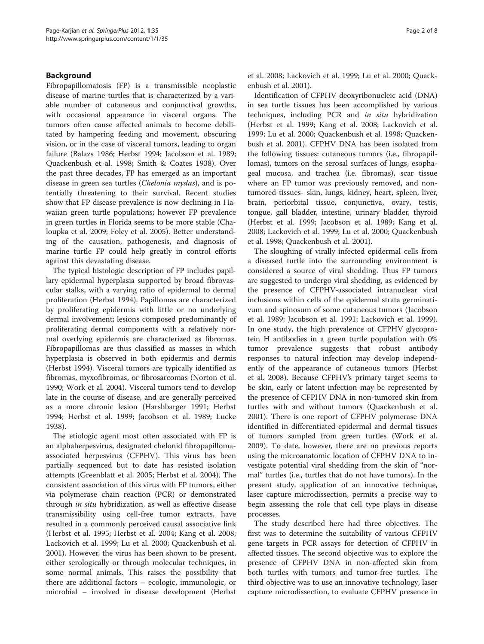# Background

Fibropapillomatosis (FP) is a transmissible neoplastic disease of marine turtles that is characterized by a variable number of cutaneous and conjunctival growths, with occasional appearance in visceral organs. The tumors often cause affected animals to become debilitated by hampering feeding and movement, obscuring vision, or in the case of visceral tumors, leading to organ failure ([Balazs 1986](#page-6-0); [Herbst 1994; Jacobson et al. 1989](#page-7-0); [Quackenbush et al. 1998](#page-7-0); [Smith & Coates 1938\)](#page-7-0). Over the past three decades, FP has emerged as an important disease in green sea turtles (Chelonia mydas), and is potentially threatening to their survival. Recent studies show that FP disease prevalence is now declining in Hawaiian green turtle populations; however FP prevalence in green turtles in Florida seems to be more stable ([Cha](#page-6-0)[loupka et al. 2009; Foley et al. 2005](#page-6-0)). Better understanding of the causation, pathogenesis, and diagnosis of marine turtle FP could help greatly in control efforts against this devastating disease.

The typical histologic description of FP includes papillary epidermal hyperplasia supported by broad fibrovascular stalks, with a varying ratio of epidermal to dermal proliferation ([Herbst 1994](#page-7-0)). Papillomas are characterized by proliferating epidermis with little or no underlying dermal involvement; lesions composed predominantly of proliferating dermal components with a relatively normal overlying epidermis are characterized as fibromas. Fibropapillomas are thus classified as masses in which hyperplasia is observed in both epidermis and dermis ([Herbst 1994\)](#page-7-0). Visceral tumors are typically identified as fibromas, myxofibromas, or fibrosarcomas [\(Norton et al.](#page-7-0) [1990](#page-7-0); Work et al. [2004](#page-7-0)). Visceral tumors tend to develop late in the course of disease, and are generally perceived as a more chronic lesion [\(Harshbarger 1991;](#page-6-0) [Herbst](#page-7-0) [1994](#page-7-0); [Herbst et al. 1999](#page-7-0); [Jacobson et al. 1989; Lucke](#page-7-0) [1938](#page-7-0)).

The etiologic agent most often associated with FP is an alphaherpesvirus, designated chelonid fibropapillomaassociated herpesvirus (CFPHV). This virus has been partially sequenced but to date has resisted isolation attempts ([Greenblatt et al. 2005;](#page-6-0) [Herbst et al. 2004\)](#page-7-0). The consistent association of this virus with FP tumors, either via polymerase chain reaction (PCR) or demonstrated through in situ hybridization, as well as effective disease transmissibility using cell-free tumor extracts, have resulted in a commonly perceived causal associative link ([Herbst et al. 1995](#page-7-0); [Herbst et al. 2004; Kang et al. 2008](#page-7-0); [Lackovich et al. 1999; Lu et al. 2000](#page-7-0); [Quackenbush et al.](#page-7-0) [2001](#page-7-0)). However, the virus has been shown to be present, either serologically or through molecular techniques, in some normal animals. This raises the possibility that there are additional factors – ecologic, immunologic, or microbial – involved in disease development ([Herbst](#page-7-0) [et al. 2008; Lackovich et al. 1999; Lu et al. 2000](#page-7-0); [Quack](#page-7-0)[enbush et al. 2001](#page-7-0)).

Identification of CFPHV deoxyribonucleic acid (DNA) in sea turtle tissues has been accomplished by various techniques, including PCR and in situ hybridization ([Herbst et al. 1999; Kang et al. 2008](#page-7-0); [Lackovich et al.](#page-7-0) [1999](#page-7-0); [Lu et al. 2000](#page-7-0); [Quackenbush et al. 1998](#page-7-0); [Quacken](#page-7-0)[bush et al. 2001](#page-7-0)). CFPHV DNA has been isolated from the following tissues: cutaneous tumors (i.e., fibropapillomas), tumors on the serosal surfaces of lungs, esophageal mucosa, and trachea (i.e. fibromas), scar tissue where an FP tumor was previously removed, and nontumored tissues- skin, lungs, kidney, heart, spleen, liver, brain, periorbital tissue, conjunctiva, ovary, testis, tongue, gall bladder, intestine, urinary bladder, thyroid ([Herbst et al. 1999](#page-7-0); [Jacobson et al. 1989](#page-7-0); [Kang et al.](#page-7-0) [2008](#page-7-0); [Lackovich et al. 1999](#page-7-0); [Lu et al. 2000](#page-7-0); [Quackenbush](#page-7-0) [et al. 1998; Quackenbush et al. 2001](#page-7-0)).

The sloughing of virally infected epidermal cells from a diseased turtle into the surrounding environment is considered a source of viral shedding. Thus FP tumors are suggested to undergo viral shedding, as evidenced by the presence of CFPHV-associated intranuclear viral inclusions within cells of the epidermal strata germinativum and spinosum of some cutaneous tumors ([Jacobson](#page-7-0) [et al. 1989; Jacobson et al. 1991](#page-7-0); [Lackovich et al. 1999](#page-7-0)). In one study, the high prevalence of CFPHV glycoprotein H antibodies in a green turtle population with 0% tumor prevalence suggests that robust antibody responses to natural infection may develop independently of the appearance of cutaneous tumors ([Herbst](#page-7-0) [et al. 2008\)](#page-7-0). Because CFPHV's primary target seems to be skin, early or latent infection may be represented by the presence of CFPHV DNA in non-tumored skin from turtles with and without tumors ([Quackenbush et al.](#page-7-0) [2001](#page-7-0)). There is one report of CFPHV polymerase DNA identified in differentiated epidermal and dermal tissues of tumors sampled from green turtles ([Work et al.](#page-7-0) [2009](#page-7-0)). To date, however, there are no previous reports using the microanatomic location of CFPHV DNA to investigate potential viral shedding from the skin of "normal" turtles (i.e., turtles that do not have tumors). In the present study, application of an innovative technique, laser capture microdissection, permits a precise way to begin assessing the role that cell type plays in disease processes.

The study described here had three objectives. The first was to determine the suitability of various CFPHV gene targets in PCR assays for detection of CFPHV in affected tissues. The second objective was to explore the presence of CFPHV DNA in non-affected skin from both turtles with tumors and tumor-free turtles. The third objective was to use an innovative technology, laser capture microdissection, to evaluate CFPHV presence in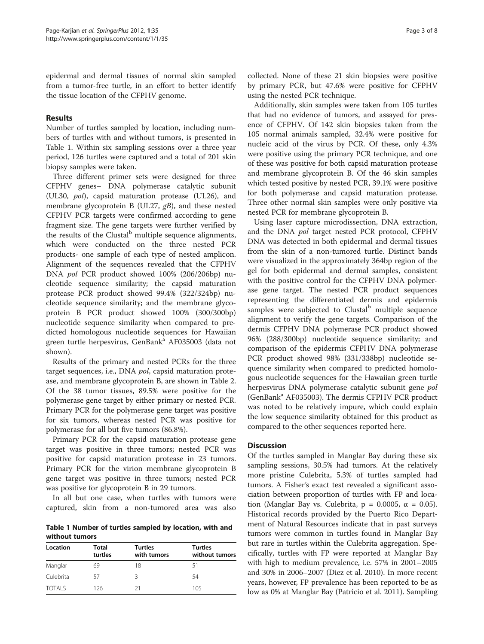epidermal and dermal tissues of normal skin sampled from a tumor-free turtle, in an effort to better identify the tissue location of the CFPHV genome.

# Results

Number of turtles sampled by location, including numbers of turtles with and without tumors, is presented in Table 1. Within six sampling sessions over a three year period, 126 turtles were captured and a total of 201 skin biopsy samples were taken.

Three different primer sets were designed for three CFPHV genes– DNA polymerase catalytic subunit (UL30, pol), capsid maturation protease (UL26), and membrane glycoprotein B (UL27, gB), and these nested CFPHV PCR targets were confirmed according to gene fragment size. The gene targets were further verified by the results of the Clustal<sup>b</sup> multiple sequence alignments, which were conducted on the three nested PCR products- one sample of each type of nested amplicon. Alignment of the sequences revealed that the CFPHV DNA pol PCR product showed 100% (206/206bp) nucleotide sequence similarity; the capsid maturation protease PCR product showed 99.4% (322/324bp) nucleotide sequence similarity; and the membrane glycoprotein B PCR product showed 100% (300/300bp) nucleotide sequence similarity when compared to predicted homologous nucleotide sequences for Hawaiian green turtle herpesvirus, GenBank<sup>a</sup> AF035003 (data not shown).

Results of the primary and nested PCRs for the three target sequences, i.e., DNA pol, capsid maturation protease, and membrane glycoprotein B, are shown in Table [2](#page-3-0). Of the 38 tumor tissues, 89.5% were positive for the polymerase gene target by either primary or nested PCR. Primary PCR for the polymerase gene target was positive for six tumors, whereas nested PCR was positive for polymerase for all but five tumors (86.8%).

Primary PCR for the capsid maturation protease gene target was positive in three tumors; nested PCR was positive for capsid maturation protease in 23 tumors. Primary PCR for the virion membrane glycoprotein B gene target was positive in three tumors; nested PCR was positive for glycoprotein B in 29 tumors.

In all but one case, when turtles with tumors were captured, skin from a non-tumored area was also

Table 1 Number of turtles sampled by location, with and without tumors

| Location      | Total         | <b>Turtles</b>    | <b>Turtles</b>       |  |  |
|---------------|---------------|-------------------|----------------------|--|--|
| Manglar       | turtles<br>69 | with tumors<br>18 | without tumors<br>51 |  |  |
| Culebrita     | 57            |                   | 54                   |  |  |
| <b>TOTALS</b> | 126           | 21                | 105                  |  |  |

collected. None of these 21 skin biopsies were positive by primary PCR, but 47.6% were positive for CFPHV using the nested PCR technique.

Additionally, skin samples were taken from 105 turtles that had no evidence of tumors, and assayed for presence of CFPHV. Of 142 skin biopsies taken from the 105 normal animals sampled, 32.4% were positive for nucleic acid of the virus by PCR. Of these, only 4.3% were positive using the primary PCR technique, and one of these was positive for both capsid maturation protease and membrane glycoprotein B. Of the 46 skin samples which tested positive by nested PCR, 39.1% were positive for both polymerase and capsid maturation protease. Three other normal skin samples were only positive via nested PCR for membrane glycoprotein B.

Using laser capture microdissection, DNA extraction, and the DNA pol target nested PCR protocol, CFPHV DNA was detected in both epidermal and dermal tissues from the skin of a non-tumored turtle. Distinct bands were visualized in the approximately 364bp region of the gel for both epidermal and dermal samples, consistent with the positive control for the CFPHV DNA polymerase gene target. The nested PCR product sequences representing the differentiated dermis and epidermis samples were subjected to Clustal<sup>b</sup> multiple sequence alignment to verify the gene targets. Comparison of the dermis CFPHV DNA polymerase PCR product showed 96% (288/300bp) nucleotide sequence similarity; and comparison of the epidermis CFPHV DNA polymerase PCR product showed 98% (331/338bp) nucleotide sequence similarity when compared to predicted homologous nucleotide sequences for the Hawaiian green turtle herpesvirus DNA polymerase catalytic subunit gene pol (GenBank<sup>a</sup> AF035003). The dermis CFPHV PCR product was noted to be relatively impure, which could explain the low sequence similarity obtained for this product as compared to the other sequences reported here.

# **Discussion**

Of the turtles sampled in Manglar Bay during these six sampling sessions, 30.5% had tumors. At the relatively more pristine Culebrita, 5.3% of turtles sampled had tumors. A Fisher's exact test revealed a significant association between proportion of turtles with FP and location (Manglar Bay vs. Culebrita,  $p = 0.0005$ ,  $\alpha = 0.05$ ). Historical records provided by the Puerto Rico Department of Natural Resources indicate that in past surveys tumors were common in turtles found in Manglar Bay but rare in turtles within the Culebrita aggregation. Specifically, turtles with FP were reported at Manglar Bay with high to medium prevalence, i.e. 57% in 2001–2005 and 30% in 2006–2007 ([Diez et al. 2010\)](#page-6-0). In more recent years, however, FP prevalence has been reported to be as low as 0% at Manglar Bay [\(Patricio et al. 2011](#page-7-0)). Sampling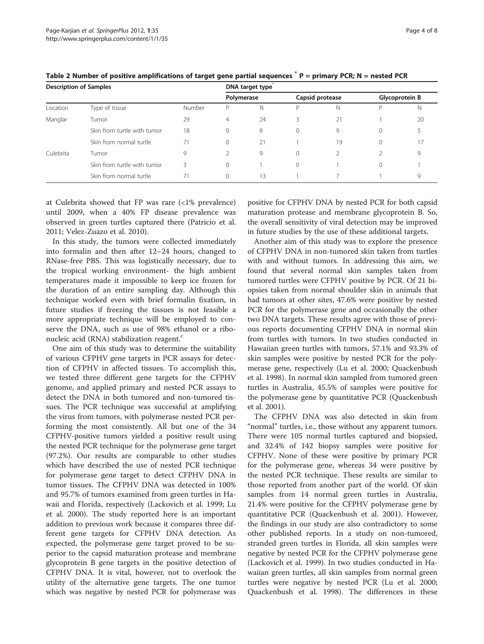| <b>Description of Samples</b> |                             |        | DNA target type |    |                 |    |                |    |  |
|-------------------------------|-----------------------------|--------|-----------------|----|-----------------|----|----------------|----|--|
|                               |                             |        | Polymerase      |    | Capsid protease |    | Glycoprotein B |    |  |
| Location                      | Type of tissue              | Number | P               | Ν  | D               | N  | P              | N  |  |
| Manglar                       | Tumor                       | 29     | 4               | 24 | 3               | 21 |                | 20 |  |
|                               | Skin from turtle with tumor | 18     | $\mathbf 0$     | 8  | 0               | 9  | $\Omega$       |    |  |
|                               | Skin from normal turtle     | 71     | 0               | 21 |                 | 19 | 0              | 17 |  |
| Culebrita                     | Tumor                       | 9      |                 | 9  | $\Omega$        |    |                | 9  |  |
|                               | Skin from turtle with tumor | 3      | $\mathbf 0$     |    | 0               |    | 0              |    |  |
|                               | Skin from normal turtle     | 71     | $\Omega$        | 13 |                 |    |                |    |  |

<span id="page-3-0"></span>Table 2 Number of positive amplifications of target gene partial sequences \* P = primary PCR; N = nested PCR

at Culebrita showed that FP was rare (<1% prevalence) until 2009, when a 40% FP disease prevalence was observed in green turtles captured there [\(Patricio et al.](#page-7-0) [2011](#page-7-0); [Velez-Zuazo et al. 2010\)](#page-7-0).

In this study, the tumors were collected immediately into formalin and then after 12–24 hours, changed to RNase-free PBS. This was logistically necessary, due to the tropical working environment- the high ambient temperatures made it impossible to keep ice frozen for the duration of an entire sampling day. Although this technique worked even with brief formalin fixation, in future studies if freezing the tissues is not feasible a more appropriate technique will be employed to conserve the DNA, such as use of 98% ethanol or a ribonucleic acid (RNA) stabilization reagent. $c$ 

One aim of this study was to determine the suitability of various CFPHV gene targets in PCR assays for detection of CFPHV in affected tissues. To accomplish this, we tested three different gene targets for the CFPHV genome, and applied primary and nested PCR assays to detect the DNA in both tumored and non-tumored tissues. The PCR technique was successful at amplifying the virus from tumors, with polymerase nested PCR performing the most consistently. All but one of the 34 CFPHV-positive tumors yielded a positive result using the nested PCR technique for the polymerase gene target (97.2%). Our results are comparable to other studies which have described the use of nested PCR technique for polymerase gene target to detect CFPHV DNA in tumor tissues. The CFPHV DNA was detected in 100% and 95.7% of tumors examined from green turtles in Hawaii and Florida, respectively ([Lackovich et al. 1999;](#page-7-0) Lu et al. [2000\)](#page-7-0). The study reported here is an important addition to previous work because it compares three different gene targets for CFPHV DNA detection. As expected, the polymerase gene target proved to be superior to the capsid maturation protease and membrane glycoprotein B gene targets in the positive detection of CFPHV DNA. It is vital, however, not to overlook the utility of the alternative gene targets. The one tumor which was negative by nested PCR for polymerase was

positive for CFPHV DNA by nested PCR for both capsid maturation protease and membrane glycoprotein B. So, the overall sensitivity of viral detection may be improved in future studies by the use of these additional targets.

Another aim of this study was to explore the presence of CFPHV DNA in non-tumored skin taken from turtles with and without tumors. In addressing this aim, we found that several normal skin samples taken from tumored turtles were CFPHV positive by PCR. Of 21 biopsies taken from normal shoulder skin in animals that had tumors at other sites, 47.6% were positive by nested PCR for the polymerase gene and occasionally the other two DNA targets. These results agree with those of previous reports documenting CFPHV DNA in normal skin from turtles with tumors. In two studies conducted in Hawaiian green turtles with tumors, 57.1% and 93.3% of skin samples were positive by nested PCR for the polymerase gene, respectively [\(Lu et al. 2000](#page-7-0); [Quackenbush](#page-7-0) [et al. 1998\)](#page-7-0). In normal skin sampled from tumored green turtles in Australia, 45.5% of samples were positive for the polymerase gene by quantitative PCR ([Quackenbush](#page-7-0) [et al. 2001](#page-7-0)).

The CFPHV DNA was also detected in skin from "normal" turtles, i.e., those without any apparent tumors. There were 105 normal turtles captured and biopsied, and 32.4% of 142 biopsy samples were positive for CFPHV. None of these were positive by primary PCR for the polymerase gene, whereas 34 were positive by the nested PCR technique. These results are similar to those reported from another part of the world. Of skin samples from 14 normal green turtles in Australia, 21.4% were positive for the CFPHV polymerase gene by quantitative PCR ([Quackenbush et al. 2001\)](#page-7-0). However, the findings in our study are also contradictory to some other published reports. In a study on non-tumored, stranded green turtles in Florida, all skin samples were negative by nested PCR for the CFPHV polymerase gene ([Lackovich et al. 1999](#page-7-0)). In two studies conducted in Hawaiian green turtles, all skin samples from normal green turtles were negative by nested PCR [\(Lu et al. 2000](#page-7-0); [Quackenbush et al. 1998](#page-7-0)). The differences in these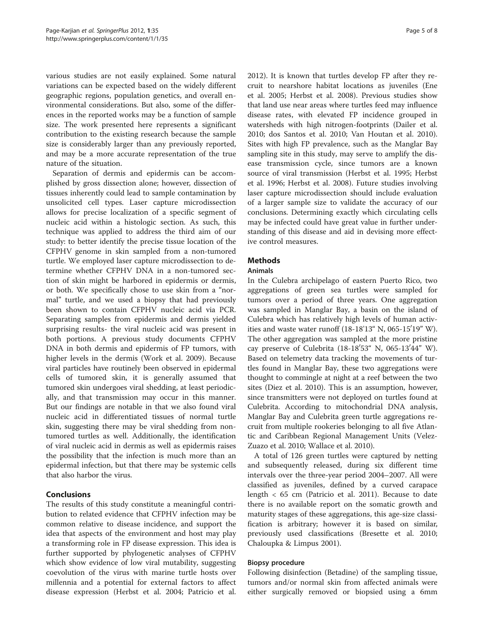various studies are not easily explained. Some natural variations can be expected based on the widely different geographic regions, population genetics, and overall environmental considerations. But also, some of the differences in the reported works may be a function of sample size. The work presented here represents a significant contribution to the existing research because the sample size is considerably larger than any previously reported, and may be a more accurate representation of the true nature of the situation.

Separation of dermis and epidermis can be accomplished by gross dissection alone; however, dissection of tissues inherently could lead to sample contamination by unsolicited cell types. Laser capture microdissection allows for precise localization of a specific segment of nucleic acid within a histologic section. As such, this technique was applied to address the third aim of our study: to better identify the precise tissue location of the CFPHV genome in skin sampled from a non-tumored turtle. We employed laser capture microdissection to determine whether CFPHV DNA in a non-tumored section of skin might be harbored in epidermis or dermis, or both. We specifically chose to use skin from a "normal" turtle, and we used a biopsy that had previously been shown to contain CFPHV nucleic acid via PCR. Separating samples from epidermis and dermis yielded surprising results- the viral nucleic acid was present in both portions. A previous study documents CFPHV DNA in both dermis and epidermis of FP tumors, with higher levels in the dermis ([Work et al. 2009\)](#page-7-0). Because viral particles have routinely been observed in epidermal cells of tumored skin, it is generally assumed that tumored skin undergoes viral shedding, at least periodically, and that transmission may occur in this manner. But our findings are notable in that we also found viral nucleic acid in differentiated tissues of normal turtle skin, suggesting there may be viral shedding from nontumored turtles as well. Additionally, the identification of viral nucleic acid in dermis as well as epidermis raises the possibility that the infection is much more than an epidermal infection, but that there may be systemic cells that also harbor the virus.

# Conclusions

The results of this study constitute a meaningful contribution to related evidence that CFPHV infection may be common relative to disease incidence, and support the idea that aspects of the environment and host may play a transforming role in FP disease expression. This idea is further supported by phylogenetic analyses of CFPHV which show evidence of low viral mutability, suggesting coevolution of the virus with marine turtle hosts over millennia and a potential for external factors to affect disease expression ([Herbst et al. 2004;](#page-7-0) Patricio et al. [2012](#page-7-0)). It is known that turtles develop FP after they recruit to nearshore habitat locations as juveniles [\(Ene](#page-6-0) [et al. 2005](#page-6-0); [Herbst et al. 2008](#page-7-0)). Previous studies show that land use near areas where turtles feed may influence disease rates, with elevated FP incidence grouped in watersheds with high nitrogen-footprints [\(Dailer et al.](#page-6-0) [2010](#page-6-0); [dos Santos et al. 2010;](#page-6-0) [Van Houtan et al. 2010](#page-7-0)). Sites with high FP prevalence, such as the Manglar Bay sampling site in this study, may serve to amplify the disease transmission cycle, since tumors are a known source of viral transmission ([Herbst et al. 1995; Herbst](#page-7-0) [et al. 1996](#page-7-0); [Herbst et al. 2008\)](#page-7-0). Future studies involving laser capture microdissection should include evaluation of a larger sample size to validate the accuracy of our conclusions. Determining exactly which circulating cells may be infected could have great value in further understanding of this disease and aid in devising more effective control measures.

# **Methods**

#### Animals

In the Culebra archipelago of eastern Puerto Rico, two aggregations of green sea turtles were sampled for tumors over a period of three years. One aggregation was sampled in Manglar Bay, a basin on the island of Culebra which has relatively high levels of human activities and waste water runoff  $(18-18'13'' \text{ N}, 065-15'19'' \text{ W})$ . The other aggregation was sampled at the more pristine cay preserve of Culebrita (18-18'53" N, 065-13'44" W). Based on telemetry data tracking the movements of turtles found in Manglar Bay, these two aggregations were thought to commingle at night at a reef between the two sites [\(Diez et al. 2010](#page-6-0)). This is an assumption, however, since transmitters were not deployed on turtles found at Culebrita. According to mitochondrial DNA analysis, Manglar Bay and Culebrita green turtle aggregations recruit from multiple rookeries belonging to all five Atlantic and Caribbean Regional Management Units [\(Velez-](#page-7-0)[Zuazo et al. 2010](#page-7-0); [Wallace et al. 2010\)](#page-7-0).

A total of 126 green turtles were captured by netting and subsequently released, during six different time intervals over the three-year period 2004–2007. All were classified as juveniles, defined by a curved carapace length < 65 cm ([Patricio et al. 2011](#page-7-0)). Because to date there is no available report on the somatic growth and maturity stages of these aggregations, this age-size classification is arbitrary; however it is based on similar, previously used classifications ([Bresette et al. 2010](#page-6-0); [Chaloupka & Limpus 2001\)](#page-6-0).

# Biopsy procedure

Following disinfection (Betadine) of the sampling tissue, tumors and/or normal skin from affected animals were either surgically removed or biopsied using a 6mm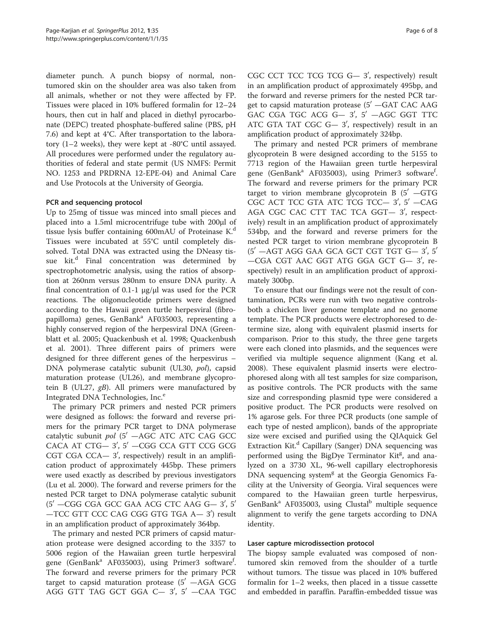diameter punch. A punch biopsy of normal, nontumored skin on the shoulder area was also taken from all animals, whether or not they were affected by FP. Tissues were placed in 10% buffered formalin for 12–24 hours, then cut in half and placed in diethyl pyrocarbonate (DEPC) treated phosphate-buffered saline (PBS, pH 7.6) and kept at 4°C. After transportation to the laboratory (1–2 weeks), they were kept at -80°C until assayed. All procedures were performed under the regulatory authorities of federal and state permit (US NMFS: Permit NO. 1253 and PRDRNA 12-EPE-04) and Animal Care and Use Protocols at the University of Georgia.

# PCR and sequencing protocol

Up to 25mg of tissue was minced into small pieces and placed into a 1.5ml microcentrifuge tube with 200μl of tissue lysis buffer containing  $600 \text{mAU}$  of Proteinase K.<sup>d</sup> Tissues were incubated at 55°C until completely dissolved. Total DNA was extracted using the DNeasy tissue kit.<sup>d</sup> Final concentration was determined by spectrophotometric analysis, using the ratios of absorption at 260nm versus 280nm to ensure DNA purity. A final concentration of 0.1-1  $\mu$ g/ $\mu$ l was used for the PCR reactions. The oligonucleotide primers were designed according to the Hawaii green turtle herpesviral (fibropapilloma) genes, GenBank<sup>a</sup> AF035003, representing a highly conserved region of the herpesviral DNA ([Green](#page-6-0)[blatt et al. 2005](#page-6-0); [Quackenbush et al. 1998](#page-7-0); [Quackenbush](#page-7-0) [et al. 2001\)](#page-7-0). Three different pairs of primers were designed for three different genes of the herpesvirus – DNA polymerase catalytic subunit (UL30, pol), capsid maturation protease (UL26), and membrane glycoprotein B (UL27,  $gB$ ). All primers were manufactured by Integrated DNA Technologies, Inc.<sup>e</sup>

The primary PCR primers and nested PCR primers were designed as follows: the forward and reverse primers for the primary PCR target to DNA polymerase catalytic subunit pol  $(5' - AGC$  ATC ATC CAG GCC  $CACA$  AT  $CTG-$  3', 5'  $-CGG$   $CCA$   $GTT$   $CCG$   $GCG$  $CGT CGA CCA  $-3'$ , respectively) result in an amplifi$ cation product of approximately 445bp. These primers were used exactly as described by previous investigators ([Lu et al. 2000](#page-7-0)). The forward and reverse primers for the nested PCR target to DNA polymerase catalytic subunit  $(5'$  —CGG CGA GCC GAA ACG CTC AAG G—  $3', 5'$  $-{\rm TCC}$  GTT CCC CAG CGG GTG TGA A $-$  3 $^{\prime})$  result in an amplification product of approximately 364bp.

The primary and nested PCR primers of capsid maturation protease were designed according to the 3357 to 5006 region of the Hawaiian green turtle herpesviral gene (GenBank<sup>a</sup> AF035003), using Primer3 software<sup>f</sup>. The forward and reverse primers for the primary PCR target to capsid maturation protease  $(5' - AGA GCG$  $\,\mathrm{AGG}$  GTT TAG GCT GGA C $-$  3 $^\prime$ , 5 $^\prime$   $-$ CAA TGC

CGC CCT TCC TCG TCG  $G - 3'$ , respectively) result in an amplification product of approximately 495bp, and the forward and reverse primers for the nested PCR target to capsid maturation protease  $(5' - GAT CAC AAG)$  $GAC CGA TGC ACG G - 3', 5' - AGC GGT TTC$ ATC GTA TAT CGC  $G - 3'$ , respectively) result in an amplification product of approximately 324bp.

The primary and nested PCR primers of membrane glycoprotein B were designed according to the 5155 to 7713 region of the Hawaiian green turtle herpesviral gene (GenBank<sup>a</sup> AF035003), using Primer3 software<sup>f</sup>. The forward and reverse primers for the primary PCR target to virion membrane glycoprotein B  $(5' - GTG)$  $CGC$  ACT TCC GTA ATC TCG TCC $-3'$ , 5'  $-CAG$ AGA CGC CAC CTT TAC TCA GGT— 3', respectively) result in an amplification product of approximately 534bp, and the forward and reverse primers for the nested PCR target to virion membrane glycoprotein B  $(5'$   $-AGT$  AGG GAA GCA GCT CGT TGT  $G-3'$ , 5'  $-CGA CGT$  AAC GGT ATG GGA GCT G $-3'$ , respectively) result in an amplification product of approximately 300bp.

To ensure that our findings were not the result of contamination, PCRs were run with two negative controlsboth a chicken liver genome template and no genome template. The PCR products were electrophoresed to determine size, along with equivalent plasmid inserts for comparison. Prior to this study, the three gene targets were each cloned into plasmids, and the sequences were verified via multiple sequence alignment ([Kang et al.](#page-7-0) [2008](#page-7-0)). These equivalent plasmid inserts were electrophoresed along with all test samples for size comparison, as positive controls. The PCR products with the same size and corresponding plasmid type were considered a positive product. The PCR products were resolved on 1% agarose gels. For three PCR products (one sample of each type of nested amplicon), bands of the appropriate size were excised and purified using the QIAquick Gel Extraction Kit.<sup>d</sup> Capillary (Sanger) DNA sequencing was performed using the BigDye Terminator Kit<sup>g</sup>, and analyzed on a 3730 XL, 96-well capillary electrophoresis  $DNA$  sequencing system<sup>g</sup> at the Georgia Genomics Facility at the University of Georgia. Viral sequences were compared to the Hawaiian green turtle herpesvirus,  $GenBank<sup>a</sup>$  AF035003, using Clustal<sup>b</sup> multiple sequence alignment to verify the gene targets according to DNA identity.

# Laser capture microdissection protocol

The biopsy sample evaluated was composed of nontumored skin removed from the shoulder of a turtle without tumors. The tissue was placed in 10% buffered formalin for 1–2 weeks, then placed in a tissue cassette and embedded in paraffin. Paraffin-embedded tissue was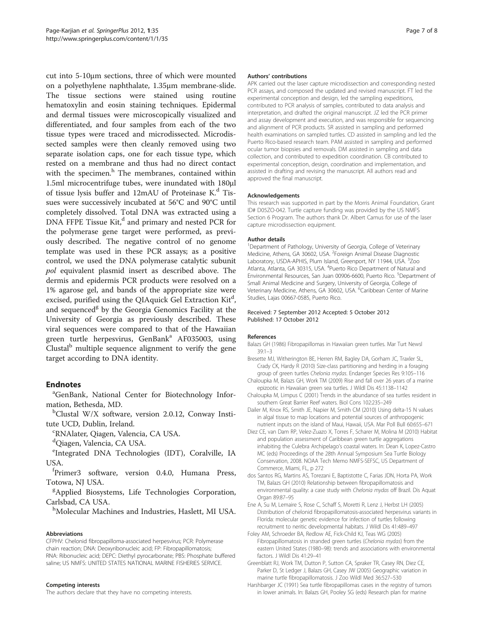<span id="page-6-0"></span>cut into 5-10μm sections, three of which were mounted on a polyethylene naphthalate, 1.35μm membrane-slide. The tissue sections were stained using routine hematoxylin and eosin staining techniques. Epidermal and dermal tissues were microscopically visualized and differentiated, and four samples from each of the two tissue types were traced and microdissected. Microdissected samples were then cleanly removed using two separate isolation caps, one for each tissue type, which rested on a membrane and thus had no direct contact with the specimen. $h$  The membranes, contained within 1.5ml microcentrifuge tubes, were inundated with 180μl of tissue lysis buffer and  $12$ mAU of Proteinase K.<sup>d</sup> Tissues were successively incubated at 56°C and 90°C until completely dissolved. Total DNA was extracted using a DNA FFPE Tissue Kit, $d$  and primary and nested PCR for the polymerase gene target were performed, as previously described. The negative control of no genome template was used in these PCR assays; as a positive control, we used the DNA polymerase catalytic subunit pol equivalent plasmid insert as described above. The dermis and epidermis PCR products were resolved on a 1% agarose gel, and bands of the appropriate size were excised, purified using the QIAquick Gel Extraction Kit<sup>d</sup>, and sequenced<sup>g</sup> by the Georgia Genomics Facility at the University of Georgia as previously described. These viral sequences were compared to that of the Hawaiian green turtle herpesvirus, GenBank<sup>a</sup> AF035003, using Clustal<sup>b</sup> multiple sequence alignment to verify the gene target according to DNA identity.

# **Endnotes**

<sup>a</sup>GenBank, National Center for Biotechnology Information, Bethesda, MD.

b Clustal W/X software, version 2.0.12, Conway Institute UCD, Dublin, Ireland.

RNAlater, Qiagen, Valencia, CA USA.

<sup>d</sup>Qiagen, Valencia, CA USA.

e Integrated DNA Technologies (IDT), Coralville, IA USA.

f Primer3 software, version 0.4.0, Humana Press, Totowa, NJ USA.

<sup>g</sup>Applied Biosystems, Life Technologies Corporation, Carlsbad, CA USA.

<sup>h</sup>Molecular Machines and Industries, Haslett, MI USA.

#### Abbreviations

CFPHV: Chelonid fibropapilloma-associated herpesvirus; PCR: Polymerase chain reaction; DNA: Deoxyribonucleic acid; FP: Fibropapillomatosis; RNA: Ribonucleic acid; DEPC: Diethyl pyrocarbonate; PBS: Phosphate buffered saline; US NMFS: UNITED STATES NATIONAL MARINE FISHERIES SERVICE.

#### Competing interests

The authors declare that they have no competing interests.

#### Authors' contributions

APK carried out the laser capture microdissection and corresponding nested PCR assays, and composed the updated and revised manuscript. FT led the experimental conception and design, led the sampling expeditions, contributed to PCR analysis of samples, contributed to data analysis and interpretation, and drafted the original manuscript. JZ led the PCR primer and assay development and execution, and was responsible for sequencing and alignment of PCR products. SR assisted in sampling and performed health examinations on sampled turtles. CD assisted in sampling and led the Puerto Rico-based research team. PAM assisted in sampling and performed ocular tumor biopsies and removals. DM assisted in sampling and data collection, and contributed to expedition coordination. CB contributed to experimental conception, design, coordination and implementation, and assisted in drafting and revising the manuscript. All authors read and approved the final manuscript.

#### Acknowledgements

This research was supported in part by the Morris Animal Foundation, Grant ID# D05ZO-042. Turtle capture funding was provided by the US NMFS Section 6 Program. The authors thank Dr. Albert Camus for use of the laser capture microdissection equipment.

#### Author details

<sup>1</sup>Department of Pathology, University of Georgia, College of Veterinary Medicine, Athens, GA 30602, USA. <sup>2</sup>Foreign Animal Disease Diagnostic Laboratory, USDA-APHIS, Plum Island, Greenport, NY 11944, USA. <sup>3</sup>Zoo Atlanta, Atlanta, GA 30315, USA. <sup>4</sup>Puerto Rico Department of Natural and Environmental Resources, San Juan 00906-6600, Puerto Rico. <sup>5</sup>Department of Small Animal Medicine and Surgery, University of Georgia, College of Veterinary Medicine, Athens, GA 30602, USA. <sup>6</sup>Caribbean Center of Marine Studies, Lajas 00667-0585, Puerto Rico.

#### Received: 7 September 2012 Accepted: 5 October 2012 Published: 17 October 2012

#### References

- Balazs GH (1986) Fibropapillomas in Hawaiian green turtles. Mar Turt Newsl 39:1–3
- Bresette MJ, Witherington BE, Herren RM, Bagley DA, Gorham JC, Traxler SL, Crady CK, Hardy R (2010) Size-class partitioning and herding in a foraging group of green turtles Chelonia mydas. Endanger Species Res 9:105–116
- Chaloupka M, Balazs GH, Work TM (2009) Rise and fall over 26 years of a marine epizootic in Hawaiian green sea turtles. J Wildl Dis 45:1138–1142
- Chaloupka M, Limpus C (2001) Trends in the abundance of sea turtles resident in southern Great Barrier Reef waters. Biol Cons 102:235–249
- Dailer M, Knox RS, Smith JE, Napier M, Smith CM (2010) Using delta-15 N values in algal tissue to map locations and potential sources of anthropogenic nutrient inputs on the island of Maui, Hawaii, USA. Mar Poll Bull 60:655–671
- Diez CE, van Dam RP, Velez-Zuazo X, Torres F, Scharer M, Molina M (2010) Habitat and population assessment of Caribbean green turtle aggregations inhabiting the Culebra Archipelago's coastal waters. In: Dean K, Lopez-Castro MC (eds) Proceedings of the 28th Annual Symposium Sea Turtle Biology Conservation, 2008. NOAA Tech Memo NMFS-SEFSC, US Department of Commerce, Miami, FL, p 272
- dos Santos RG, Martins AS, Torezani E, Baptistotte C, Farias JDN, Horta PA, Work TM, Balazs GH (2010) Relationship between fibropapillomatosis and environmental quality: a case study with Chelonia mydas off Brazil. Dis Aquat Organ 89:87–95
- Ene A, Su M, Lemaire S, Rose C, Schaff S, Moretti R, Lenz J, Herbst LH (2005) Distribution of chelonid fibropapillomatosis-associated herpesvirus variants in Florida: molecular genetic evidence for infection of turtles following recruitment to neritic developmental habitats. J Wildl Dis 41:489–497
- Foley AM, Schroeder BA, Redlow AE, Fick-Child KJ, Teas WG (2005) Fibropapillomatosis in stranded green turtles (Chelonia mydas) from the eastern United States (1980–98): trends and associations with environmental factors. J Wildl Dis 41:29–41
- Greenblatt RJ, Work TM, Dutton P, Sutton CA, Spraker TR, Casey RN, Diez CE, Parker D, St Ledger J, Balazs GH, Casey JW (2005) Geographic variation in marine turtle fibropapillomatosis. J Zoo Wildl Med 36:527–530
- Harshbarger JC (1991) Sea turtle fibropapillomas cases in the registry of tumors in lower animals. In: Balazs GH, Pooley SG (eds) Research plan for marine